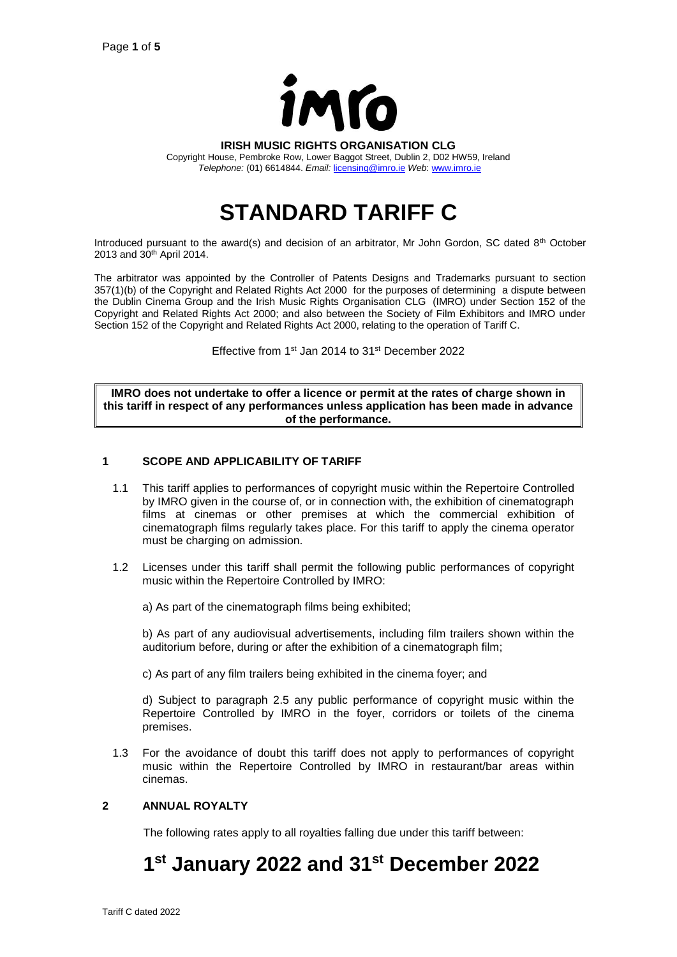

**IRISH MUSIC RIGHTS ORGANISATION CLG**

Copyright House, Pembroke Row, Lower Baggot Street, Dublin 2, D02 HW59, Ireland *Telephone:* (01) 6614844. *Email:* [licensing@imro.ie](mailto:licensing@imro.ie) *Web*[: www.imro.ie](http://www.imro.ie/)

# **STANDARD TARIFF C**

Introduced pursuant to the award(s) and decision of an arbitrator, Mr John Gordon, SC dated 8<sup>th</sup> October 2013 and 30th April 2014.

The arbitrator was appointed by the Controller of Patents Designs and Trademarks pursuant to section 357(1)(b) of the Copyright and Related Rights Act 2000 for the purposes of determining a dispute between the Dublin Cinema Group and the Irish Music Rights Organisation CLG (IMRO) under Section 152 of the Copyright and Related Rights Act 2000; and also between the Society of Film Exhibitors and IMRO under Section 152 of the Copyright and Related Rights Act 2000, relating to the operation of Tariff C.

Effective from 1st Jan 2014 to 31st December 2022

**IMRO does not undertake to offer a licence or permit at the rates of charge shown in this tariff in respect of any performances unless application has been made in advance of the performance.**

#### **1 SCOPE AND APPLICABILITY OF TARIFF**

- 1.1 This tariff applies to performances of copyright music within the Repertoire Controlled by IMRO given in the course of, or in connection with, the exhibition of cinematograph films at cinemas or other premises at which the commercial exhibition of cinematograph films regularly takes place. For this tariff to apply the cinema operator must be charging on admission.
- 1.2 Licenses under this tariff shall permit the following public performances of copyright music within the Repertoire Controlled by IMRO:

a) As part of the cinematograph films being exhibited;

b) As part of any audiovisual advertisements, including film trailers shown within the auditorium before, during or after the exhibition of a cinematograph film;

c) As part of any film trailers being exhibited in the cinema foyer; and

d) Subject to paragraph 2.5 any public performance of copyright music within the Repertoire Controlled by IMRO in the foyer, corridors or toilets of the cinema premises.

1.3 For the avoidance of doubt this tariff does not apply to performances of copyright music within the Repertoire Controlled by IMRO in restaurant/bar areas within cinemas.

#### **2 ANNUAL ROYALTY**

The following rates apply to all royalties falling due under this tariff between:

## **1 st January 2022 and 31st December 2022**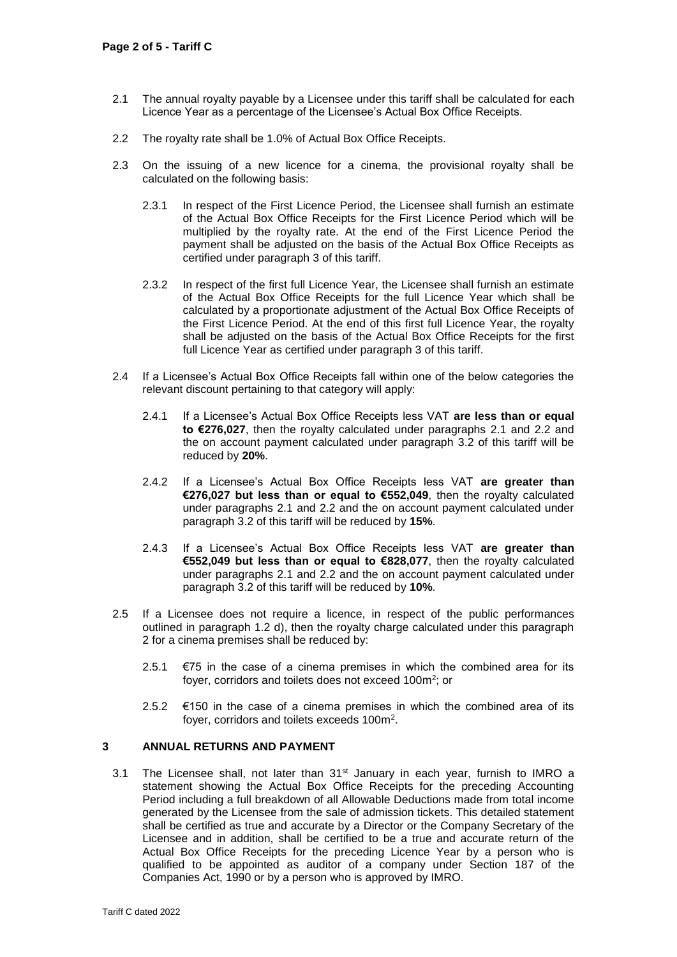- 2.1 The annual royalty payable by a Licensee under this tariff shall be calculated for each Licence Year as a percentage of the Licensee's Actual Box Office Receipts.
- 2.2 The royalty rate shall be 1.0% of Actual Box Office Receipts.
- 2.3 On the issuing of a new licence for a cinema, the provisional royalty shall be calculated on the following basis:
	- 2.3.1 In respect of the First Licence Period, the Licensee shall furnish an estimate of the Actual Box Office Receipts for the First Licence Period which will be multiplied by the royalty rate. At the end of the First Licence Period the payment shall be adjusted on the basis of the Actual Box Office Receipts as certified under paragraph 3 of this tariff.
	- 2.3.2 In respect of the first full Licence Year, the Licensee shall furnish an estimate of the Actual Box Office Receipts for the full Licence Year which shall be calculated by a proportionate adjustment of the Actual Box Office Receipts of the First Licence Period. At the end of this first full Licence Year, the royalty shall be adjusted on the basis of the Actual Box Office Receipts for the first full Licence Year as certified under paragraph 3 of this tariff.
- 2.4 If a Licensee's Actual Box Office Receipts fall within one of the below categories the relevant discount pertaining to that category will apply:
	- 2.4.1 If a Licensee's Actual Box Office Receipts less VAT **are less than or equal to €276,027**, then the royalty calculated under paragraphs 2.1 and 2.2 and the on account payment calculated under paragraph 3.2 of this tariff will be reduced by **20%**.
	- 2.4.2 If a Licensee's Actual Box Office Receipts less VAT **are greater than €276,027 but less than or equal to €552,049**, then the royalty calculated under paragraphs 2.1 and 2.2 and the on account payment calculated under paragraph 3.2 of this tariff will be reduced by **15%**.
	- 2.4.3 If a Licensee's Actual Box Office Receipts less VAT **are greater than €552,049 but less than or equal to €828,077**, then the royalty calculated under paragraphs 2.1 and 2.2 and the on account payment calculated under paragraph 3.2 of this tariff will be reduced by **10%**.
- 2.5 If a Licensee does not require a licence, in respect of the public performances outlined in paragraph 1.2 d), then the royalty charge calculated under this paragraph 2 for a cinema premises shall be reduced by:
	- 2.5.1  $\epsilon$ 75 in the case of a cinema premises in which the combined area for its foyer, corridors and toilets does not exceed 100m<sup>2</sup>; or
	- 2.5.2  $€150$  in the case of a cinema premises in which the combined area of its foyer, corridors and toilets exceeds 100m<sup>2</sup>.

#### **3 ANNUAL RETURNS AND PAYMENT**

3.1 The Licensee shall, not later than  $31<sup>st</sup>$  January in each year, furnish to IMRO a statement showing the Actual Box Office Receipts for the preceding Accounting Period including a full breakdown of all Allowable Deductions made from total income generated by the Licensee from the sale of admission tickets. This detailed statement shall be certified as true and accurate by a Director or the Company Secretary of the Licensee and in addition, shall be certified to be a true and accurate return of the Actual Box Office Receipts for the preceding Licence Year by a person who is qualified to be appointed as auditor of a company under Section 187 of the Companies Act, 1990 or by a person who is approved by IMRO.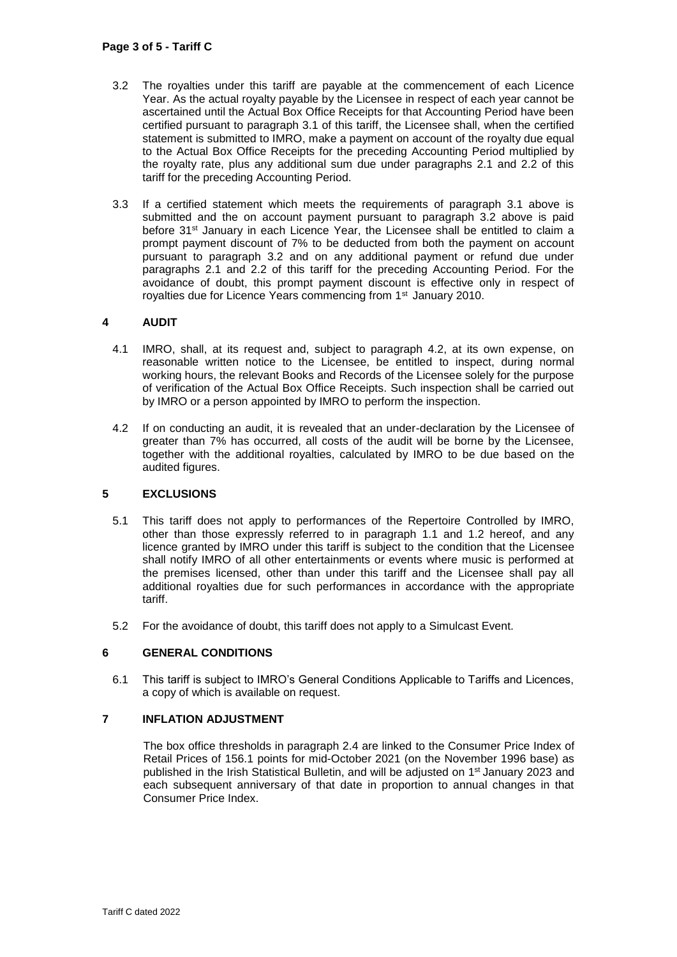- 3.2 The royalties under this tariff are payable at the commencement of each Licence Year. As the actual royalty payable by the Licensee in respect of each year cannot be ascertained until the Actual Box Office Receipts for that Accounting Period have been certified pursuant to paragraph 3.1 of this tariff, the Licensee shall, when the certified statement is submitted to IMRO, make a payment on account of the royalty due equal to the Actual Box Office Receipts for the preceding Accounting Period multiplied by the royalty rate, plus any additional sum due under paragraphs 2.1 and 2.2 of this tariff for the preceding Accounting Period.
- 3.3 If a certified statement which meets the requirements of paragraph 3.1 above is submitted and the on account payment pursuant to paragraph 3.2 above is paid before 31<sup>st</sup> January in each Licence Year, the Licensee shall be entitled to claim a prompt payment discount of 7% to be deducted from both the payment on account pursuant to paragraph 3.2 and on any additional payment or refund due under paragraphs 2.1 and 2.2 of this tariff for the preceding Accounting Period. For the avoidance of doubt, this prompt payment discount is effective only in respect of royalties due for Licence Years commencing from 1<sup>st</sup> January 2010.

#### **4 AUDIT**

- 4.1 IMRO, shall, at its request and, subject to paragraph 4.2, at its own expense, on reasonable written notice to the Licensee, be entitled to inspect, during normal working hours, the relevant Books and Records of the Licensee solely for the purpose of verification of the Actual Box Office Receipts. Such inspection shall be carried out by IMRO or a person appointed by IMRO to perform the inspection.
- 4.2 If on conducting an audit, it is revealed that an under-declaration by the Licensee of greater than 7% has occurred, all costs of the audit will be borne by the Licensee, together with the additional royalties, calculated by IMRO to be due based on the audited figures.

#### **5 EXCLUSIONS**

- 5.1 This tariff does not apply to performances of the Repertoire Controlled by IMRO, other than those expressly referred to in paragraph 1.1 and 1.2 hereof, and any licence granted by IMRO under this tariff is subject to the condition that the Licensee shall notify IMRO of all other entertainments or events where music is performed at the premises licensed, other than under this tariff and the Licensee shall pay all additional royalties due for such performances in accordance with the appropriate tariff.
- 5.2 For the avoidance of doubt, this tariff does not apply to a Simulcast Event.

#### **6 GENERAL CONDITIONS**

6.1 This tariff is subject to IMRO's General Conditions Applicable to Tariffs and Licences, a copy of which is available on request.

#### **7 INFLATION ADJUSTMENT**

The box office thresholds in paragraph 2.4 are linked to the Consumer Price Index of Retail Prices of 156.1 points for mid-October 2021 (on the November 1996 base) as published in the Irish Statistical Bulletin, and will be adjusted on 1<sup>st</sup> January 2023 and each subsequent anniversary of that date in proportion to annual changes in that Consumer Price Index.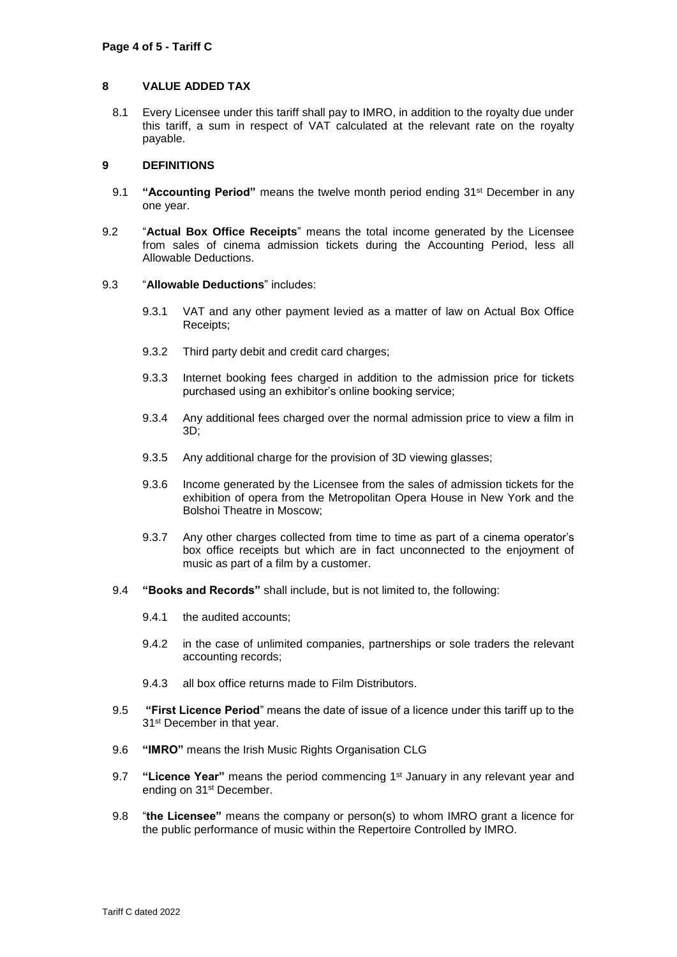#### **8 VALUE ADDED TAX**

8.1 Every Licensee under this tariff shall pay to IMRO, in addition to the royalty due under this tariff, a sum in respect of VAT calculated at the relevant rate on the royalty payable.

#### **9 DEFINITIONS**

- 9.1 **"Accounting Period"** means the twelve month period ending 31st December in any one year.
- 9.2 "**Actual Box Office Receipts**" means the total income generated by the Licensee from sales of cinema admission tickets during the Accounting Period, less all Allowable Deductions.

#### 9.3 "**Allowable Deductions**" includes:

- 9.3.1 VAT and any other payment levied as a matter of law on Actual Box Office Receipts;
- 9.3.2 Third party debit and credit card charges;
- 9.3.3 Internet booking fees charged in addition to the admission price for tickets purchased using an exhibitor's online booking service;
- 9.3.4 Any additional fees charged over the normal admission price to view a film in 3D;
- 9.3.5 Any additional charge for the provision of 3D viewing glasses;
- 9.3.6 Income generated by the Licensee from the sales of admission tickets for the exhibition of opera from the Metropolitan Opera House in New York and the Bolshoi Theatre in Moscow;
- 9.3.7 Any other charges collected from time to time as part of a cinema operator's box office receipts but which are in fact unconnected to the enjoyment of music as part of a film by a customer.
- 9.4 **"Books and Records"** shall include, but is not limited to, the following:
	- 9.4.1 the audited accounts;
	- 9.4.2 in the case of unlimited companies, partnerships or sole traders the relevant accounting records;
	- 9.4.3 all box office returns made to Film Distributors.
- 9.5 **"First Licence Period**" means the date of issue of a licence under this tariff up to the 31<sup>st</sup> December in that year.
- 9.6 **"IMRO"** means the Irish Music Rights Organisation CLG
- 9.7 **"Licence Year"** means the period commencing 1st January in any relevant year and ending on 31st December.
- 9.8 "**the Licensee"** means the company or person(s) to whom IMRO grant a licence for the public performance of music within the Repertoire Controlled by IMRO.